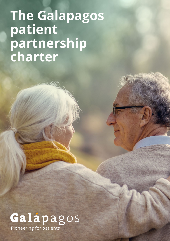# **The Galapagos patient partnership charter**



Pioneering for patients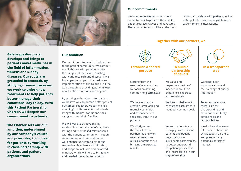

**Galapagos discovers, develops and brings to patients novel medicines in the field of inflammation, fibrosis and kidney diseases. Our roots are grounded in research. By studying disease processes, we work to unlock new treatments to help patients better manage their conditions, day to day. With this Patient Partnership Charter, we deepen our commitment to patients.** 

**The Charter sets out our ambition, underpinned by our company's values and principles, to pioneer for patients by working in close partnership with patients and patient organizations.**

#### **Our ambition**

Our ambition is to be a trusted partner to the patient community. We commit to collaborate with patients across the lifecycle of medicines. Starting with early research and discovery, we foster partnerships in the design and implementation of clinical trials, all the way through to providing patients with new treatment options and beyond.

By working with patients, for patients, we believe we can pursue better patient outcomes. Together, we can make a meaningful difference for individuals living with medical conditions, their caregivers and their families.

We will work to achieve this by establishing mutually beneficial, longlasting and trust-based relationships with the patient community. Through collaboration and co-creation, we will enhance understanding of our respective objectives and priorities, and adopt an inclusive and balanced mindset, which will help to bring new and needed therapies to patients.

### **Our commitments**

We have co-developed a set of core commitments, together with patients, patient representatives and advocates. These commitments will be at the heart

of our partnerships with patients, in line with applicable laws and regulations on patient-pharma interactions.

#### **Together with our partners, we**